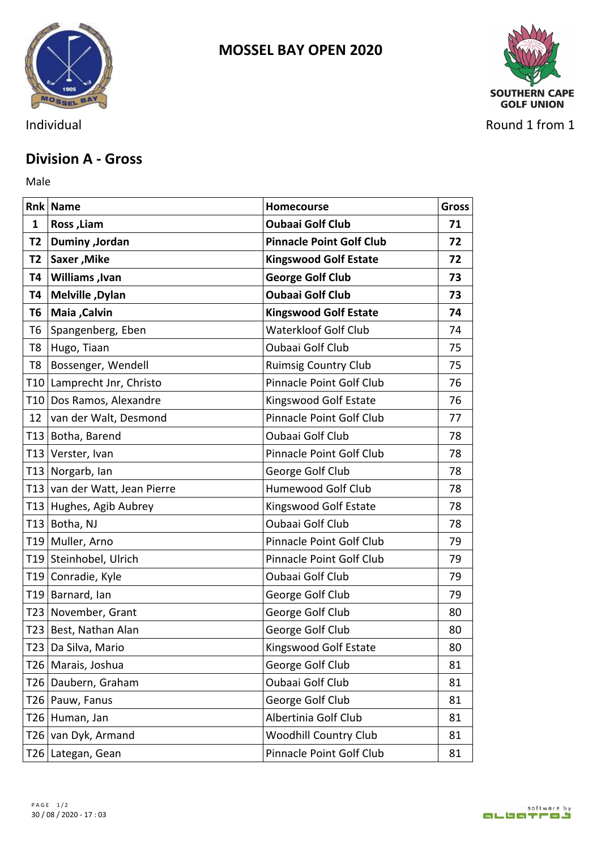



Individual Round 1 from 1

## **Division A - Gross**

Male **Male** 

|   | Rnk Name                      | Homecourse                      | <b>Gross</b> |
|---|-------------------------------|---------------------------------|--------------|
| 1 | Ross, Liam                    | <b>Oubaai Golf Club</b>         | 71           |
|   | T2   Duminy , Jordan          | <b>Pinnacle Point Golf Club</b> | 72           |
|   | T2   Saxer, Mike              | <b>Kingswood Golf Estate</b>    | 72           |
|   | T4   Williams , Ivan          | <b>George Golf Club</b>         | 73           |
|   | T4   Melville, Dylan          | <b>Oubaai Golf Club</b>         | 73           |
|   | T6   Maia , Calvin            | <b>Kingswood Golf Estate</b>    | 74           |
|   | T6 Spangenberg, Eben          | Waterkloof Golf Club            | 74           |
|   | T8 Hugo, Tiaan                | Oubaai Golf Club                | 75           |
|   | T8   Bossenger, Wendell       | <b>Ruimsig Country Club</b>     | 75           |
|   | T10 Lamprecht Jnr, Christo    | Pinnacle Point Golf Club        | 76           |
|   | T10 Dos Ramos, Alexandre      | Kingswood Golf Estate           | 76           |
|   | 12 van der Walt, Desmond      | Pinnacle Point Golf Club        | 77           |
|   | T13 Botha, Barend             | Oubaai Golf Club                | 78           |
|   | T13 Verster, Ivan             | Pinnacle Point Golf Club        | 78           |
|   | T13 Norgarb, Ian              | George Golf Club                | 78           |
|   | T13 van der Watt, Jean Pierre | Humewood Golf Club              | 78           |
|   | T13 Hughes, Agib Aubrey       | Kingswood Golf Estate           | 78           |
|   | T13 Botha, NJ                 | Oubaai Golf Club                | 78           |
|   | T19 Muller, Arno              | Pinnacle Point Golf Club        | 79           |
|   | T19 Steinhobel, Ulrich        | Pinnacle Point Golf Club        | 79           |
|   | T19 Conradie, Kyle            | Oubaai Golf Club                | 79           |
|   | T19 Barnard, Ian              | George Golf Club                | 79           |
|   | T23 November, Grant           | George Golf Club                | 80           |
|   | T23 Best, Nathan Alan         | George Golf Club                | 80           |
|   | T23 Da Silva, Mario           | Kingswood Golf Estate           | 80           |
|   | T26 Marais, Joshua            | George Golf Club                | 81           |
|   | T26 Daubern, Graham           | Oubaai Golf Club                | 81           |
|   | T26 Pauw, Fanus               | George Golf Club                | 81           |
|   | T26 Human, Jan                | Albertinia Golf Club            | 81           |
|   | T26 van Dyk, Armand           | <b>Woodhill Country Club</b>    | 81           |
|   | T26 Lategan, Gean             | Pinnacle Point Golf Club        | 81           |